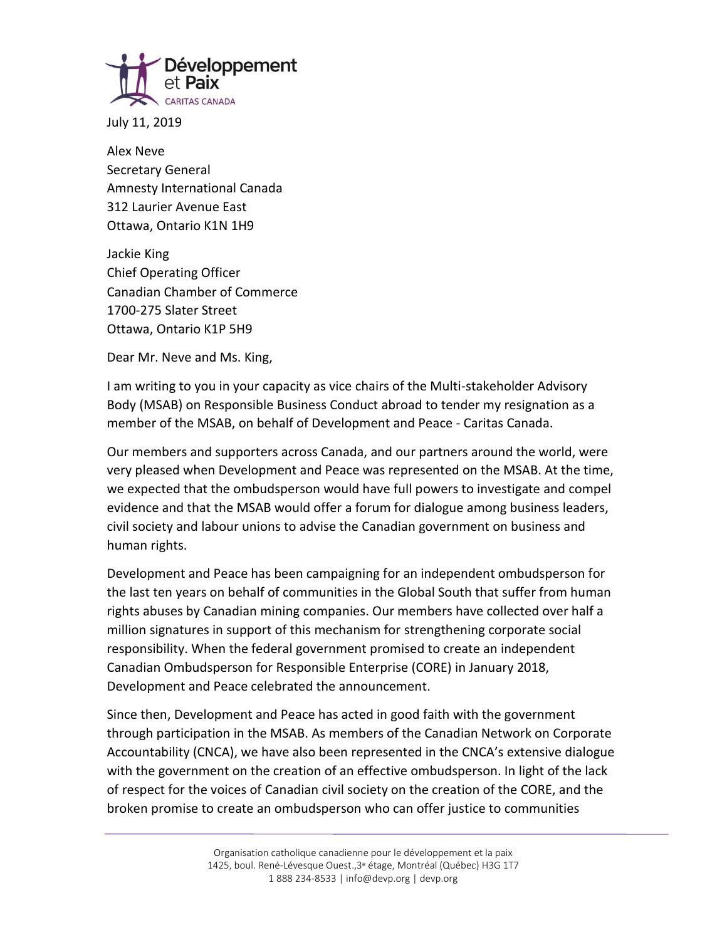

July 11, 2019

Alex Neve Secretary General Amnesty International Canada 312 Laurier Avenue East Ottawa, Ontario K1N 1H9

Jackie King Chief Operating Officer Canadian Chamber of Commerce 1700-275 Slater Street Ottawa, Ontario K1P 5H9

Dear Mr. Neve and Ms. King,

I am writing to you in your capacity as vice chairs of the Multi-stakeholder Advisory Body (MSAB) on Responsible Business Conduct abroad to tender my resignation as a member of the MSAB, on behalf of Development and Peace - Caritas Canada.

Our members and supporters across Canada, and our partners around the world, were very pleased when Development and Peace was represented on the MSAB. At the time, we expected that the ombudsperson would have full powers to investigate and compel evidence and that the MSAB would offer a forum for dialogue among business leaders, civil society and labour unions to advise the Canadian government on business and human rights.

Development and Peace has been campaigning for an independent ombudsperson for the last ten years on behalf of communities in the Global South that suffer from human rights abuses by Canadian mining companies. Our members have collected over half a million signatures in support of this mechanism for strengthening corporate social responsibility. When the federal government promised to create an independent Canadian Ombudsperson for Responsible Enterprise (CORE) in January 2018, Development and Peace celebrated the announcement.

Since then, Development and Peace has acted in good faith with the government through participation in the MSAB. As members of the Canadian Network on Corporate Accountability (CNCA), we have also been represented in the CNCA's extensive dialogue with the government on the creation of an effective ombudsperson. In light of the lack of respect for the voices of Canadian civil society on the creation of the CORE, and the broken promise to create an ombudsperson who can offer justice to communities